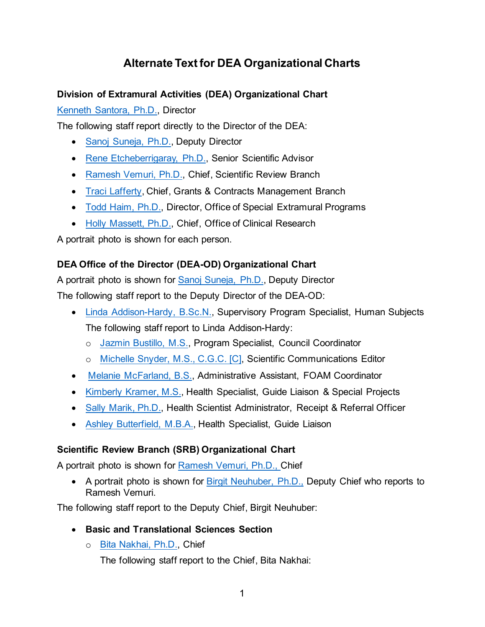# **Alternate Text for DEA Organizational Charts**

## **Division of Extramural Activities (DEA) Organizational Chart**

[Kenneth Santora, Ph.D.,](https://www.nia.nih.gov/about/staff/santora-kenneth) Director

The following staff report directly to the Director of the DEA:

- [Sanoj Suneja, Ph.D.,](https://www.nia.nih.gov/about/staff/suneja-sanoj) Deputy Director
- [Rene Etcheberrigaray, Ph.D.,](https://www.nia.nih.gov/about/staff/etcheberrigaray-rene) Senior Scientific Advisor
- [Ramesh Vemuri, Ph.D.,](https://www.nia.nih.gov/about/staff/vemuri-ramesh) Chief, Scientific Review Branch
- [Traci Lafferty,](https://www.nia.nih.gov/about/staff/lafferty-traci) Chief, Grants & Contracts Management Branch
- [Todd Haim, Ph.D.,](https://www.nia.nih.gov/about/staff/haim-todd) Director, Office of Special Extramural Programs
- [Holly Massett, Ph.D.,](https://www.nia.nih.gov/about/staff/massett-holly) Chief, Office of Clinical Research

A portrait photo is shown for each person.

### **DEA Office of the Director (DEA-OD) Organizational Chart**

A portrait photo is shown for [Sanoj Suneja, Ph.D.,](https://www.nia.nih.gov/about/staff/suneja-sanoj) Deputy Director The following staff report to the Deputy Director of the DEA-OD:

- [Linda Addison-Hardy, B.Sc.N.,](https://www.nia.nih.gov/about/staff/addison-hardy-linda) Supervisory Program Specialist, Human Subjects The following staff report to Linda Addison-Hardy:
	- o [Jazmin Bustillo, M.S.,](https://www.nia.nih.gov/about/staff/bustillo-jazmin) Program Specialist, Council Coordinator
	- o [Michelle Snyder, M.S., C.G.C. \[C\],](mailto:michelle.snyder2@nih.gov) Scientific Communications Editor
- [Melanie McFarland, B.S.,](https://www.nia.nih.gov/about/staff/mcfarland-melanie) Administrative Assistant, FOAM Coordinator
- [Kimberly Kramer, M.S.,](https://www.nia.nih.gov/about/staff/kramer-kimberly) Health Specialist, Guide Liaison & Special Projects
- [Sally Marik, Ph.D.,](https://www.nia.nih.gov/about/staff/marik-sally) Health Scientist Administrator, Receipt & Referral Officer
- [Ashley Butterfield, M.B.A.,](https://www.nia.nih.gov/about/staff/butterfield-ashley) Health Specialist, Guide Liaison

## **Scientific Review Branch (SRB) Organizational Chart**

A portrait photo is shown for [Ramesh Vemuri, Ph.D.,](https://www.nia.nih.gov/about/staff/vemuri-ramesh) Chief

• A portrait photo is shown for **Birgit Neuhuber**, Ph.D., Deputy Chief who reports to Ramesh Vemuri.

The following staff report to the Deputy Chief, Birgit Neuhuber:

- **Basic and Translational Sciences Section**
	- o [Bita Nakhai, Ph.D.,](https://www.nia.nih.gov/about/staff/nakhai-bita) Chief

The following staff report to the Chief, Bita Nakhai: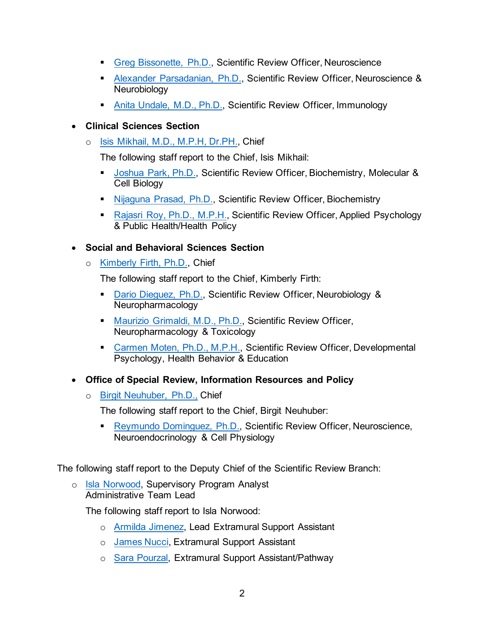- [Greg Bissonette, Ph.D.,](https://www.nia.nih.gov/about/staff/bissonette-gregory) Scientific Review Officer, Neuroscience
- [Alexander Parsadanian, Ph.D.,](https://www.nia.nih.gov/about/staff/parsadanian-alexander) Scientific Review Officer, Neuroscience & Neurobiology
- [Anita Undale, M.D., Ph.D.,](https://www.nia.nih.gov/about/staff/undale-anita) Scientific Review Officer, Immunology
- **Clinical Sciences Section** 
	- o [Isis Mikhail, M.D., M.P.H, Dr.PH.,](https://www.nia.nih.gov/about/staff/mikhail-isis) Chief

The following staff report to the Chief, Isis Mikhail:

- **[Joshua Park, Ph.D.,](https://www.nia.nih.gov/about/staff/park-joshua) Scientific Review Officer, Biochemistry, Molecular &** Cell Biology
- [Nijaguna Prasad, Ph.D.,](https://www.nia.nih.gov/about/staff/prasad-nijaguna) Scientific Review Officer, Biochemistry
- [Rajasri Roy, Ph.D., M.P.H.,](https://www.nia.nih.gov/about/staff/roy-rajasri) Scientific Review Officer, Applied Psychology & Public Health/Health Policy

#### • **Social and Behavioral Sciences Section**

o [Kimberly Firth, Ph.D.,](https://www.nia.nih.gov/about/staff/firth-kimberly) Chief

The following staff report to the Chief, Kimberly Firth:

- [Dario Dieguez, Ph.D.,](https://www.nia.nih.gov/about/staff/dieguez-dario) Scientific Review Officer, Neurobiology & Neuropharmacology
- **[Maurizio Grimaldi, M.D., Ph.D.,](https://www.nia.nih.gov/about/staff/grimaldi-maurizio) Scientific Review Officer,** Neuropharmacology & Toxicology
- [Carmen Moten, Ph.D., M.P.H.,](https://www.nia.nih.gov/about/staff/moten-carmen) Scientific Review Officer, Developmental Psychology, Health Behavior & Education
- **Office of Special Review, Information Resources and Policy** 
	- o [Birgit Neuhuber, Ph.D.,](https://www.nia.nih.gov/about/staff/neuhuber-birgit) Chief

The following staff report to the Chief, Birgit Neuhuber:

■ [Reymundo Dominguez, Ph.D.,](https://www.nia.nih.gov/about/staff/dominguez-reymundo) Scientific Review Officer, Neuroscience, Neuroendocrinology & Cell Physiology

The following staff report to the Deputy Chief of the Scientific Review Branch:

o [Isla Norwood,](https://www.nia.nih.gov/about/staff/norwood-isla) Supervisory Program Analyst Administrative Team Lead

The following staff report to Isla Norwood:

- o [Armilda Jimenez,](https://www.nia.nih.gov/about/staff/jimenez-armilda) Lead Extramural Support Assistant
- o [James Nucci,](https://www.nia.nih.gov/about/staff/nucci-james) Extramural Support Assistant
- o [Sara Pourzal,](https://www.nia.nih.gov/about/staff/pourzal-sara) Extramural Support Assistant/Pathway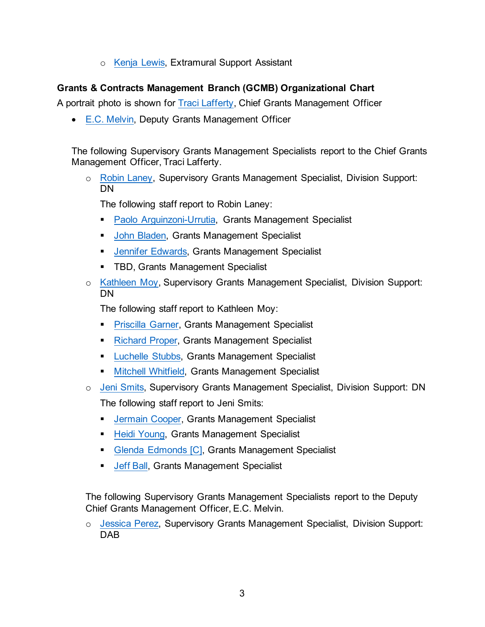o [Kenja Lewis,](https://www.nia.nih.gov/about/staff/lewis-kenja) Extramural Support Assistant

#### **Grants & Contracts Management Branch (GCMB) Organizational Chart**

A portrait photo is shown for [Traci Lafferty,](https://www.nia.nih.gov/about/staff/lafferty-traci) Chief Grants Management Officer

• [E.C. Melvin,](https://www.nia.nih.gov/about/staff/melvin-earl) Deputy Grants Management Officer

The following Supervisory Grants Management Specialists report to the Chief Grants Management Officer, Traci Lafferty.

o [Robin Laney,](https://www.nia.nih.gov/about/staff/laney-robin) Supervisory Grants Management Specialist, Division Support: DN

The following staff report to Robin Laney:

- **[Paolo Arguinzoni-Urrutia,](https://www.nia.nih.gov/about/staff/arguinzoni-urrutia-paolo) Grants Management Specialist**
- **[John Bladen,](https://www.nia.nih.gov/about/staff/bladen-john) Grants Management Specialist**
- **[Jennifer Edwards,](https://www.nia.nih.gov/about/staff/edwards-jennifer) Grants Management Specialist**
- **TBD, Grants Management Specialist**
- o [Kathleen Moy,](https://www.nia.nih.gov/about/staff/moy-kathleen) Supervisory Grants Management Specialist, Division Support: DN

The following staff report to Kathleen Moy:

- **[Priscilla Garner,](https://www.nia.nih.gov/about/staff/garner-priscilla) Grants Management Specialist**
- **[Richard Proper,](https://www.nia.nih.gov/about/staff/proper-richard) Grants Management Specialist**
- **[Luchelle Stubbs,](https://www.nia.nih.gov/about/staff/stubbs-luchelle) Grants Management Specialist**
- **[Mitchell Whitfield,](https://www.nia.nih.gov/about/staff/whitfield-mitchell) Grants Management Specialist**
- o [Jeni Smits,](https://www.nia.nih.gov/about/staff/smits-jeni) Supervisory Grants Management Specialist, Division Support: DN The following staff report to Jeni Smits:
	- **[Jermain Cooper,](https://www.nia.nih.gov/about/staff/cooper-jermain) Grants Management Specialist**
	- **[Heidi Young,](https://www.nia.nih.gov/about/staff/young-heidi) Grants Management Specialist**
	- [Glenda Edmonds](https://www.nia.nih.gov/about/staff/young-heidi) [C], Grants Management Specialist
	- **[Jeff Ball,](https://www.nia.nih.gov/about/staff/ball-jeffrey) Grants Management Specialist**

The following Supervisory Grants Management Specialists report to the Deputy Chief Grants Management Officer, E.C. Melvin.

o [Jessica Perez,](mailto:jessi.perez@nih.gov) Supervisory Grants Management Specialist, Division Support: DAB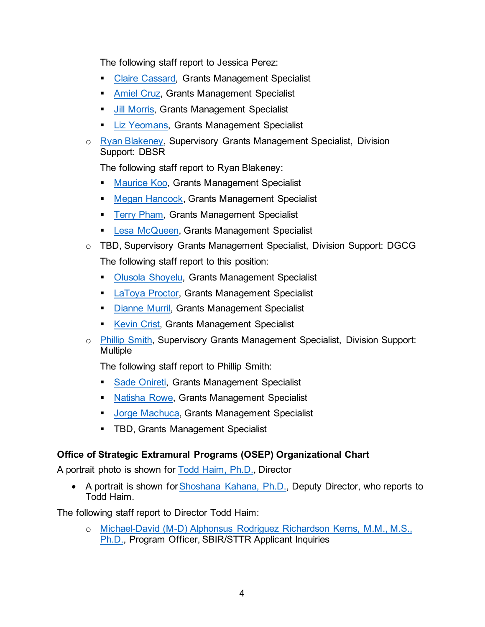The following staff report to Jessica Perez:

- **[Claire Cassard,](https://www.nia.nih.gov/about/staff/cassard-claire) Grants Management Specialist**
- **[Amiel Cruz,](https://www.nia.nih.gov/about/staff/cruz-amiel-mclain) Grants Management Specialist**
- **[Jill Morris,](https://www.nia.nih.gov/about/staff/morris-jillian) Grants Management Specialist**
- [Liz Yeomans,](https://www.nia.nih.gov/about/staff/yeomans-elizabeth) Grants Management Specialist
- o [Ryan Blakeney,](https://www.nia.nih.gov/about/staff/blakeney-ryan) Supervisory Grants Management Specialist, Division Support: DBSR

The following staff report to Ryan Blakeney:

- **[Maurice Koo,](https://www.nia.nih.gov/about/staff/koo-maurice) Grants Management Specialist**
- **[Megan Hancock,](https://www.nia.nih.gov/about/staff/hancock-megan) Grants Management Specialist**
- **[Terry Pham,](https://www.nia.nih.gov/about/staff/pham-terry) Grants Management Specialist**
- **[Lesa McQueen,](https://www.nia.nih.gov/about/staff/mcqueen-lesa) Grants Management Specialist**
- o TBD, Supervisory Grants Management Specialist, Division Support: DGCG The following staff report to this position:
	- **[Olusola Shoyelu,](https://www.nia.nih.gov/about/staff/shoyelu-olusola) Grants Management Specialist**
	- **[LaToya Proctor,](https://www.nia.nih.gov/about/staff/proctor-latoya) Grants Management Specialist**
	- [Dianne Murril,](mailto:Murril,%20Dianne%20(NIH/NIA/ERP)%20%5bE%5d%20%3cdianne.murril@nih.gov%3e) Grants Management Specialist
	- [Kevin Crist,](https://www.nia.nih.gov/about/staff/crist-kevin) Grants Management Specialist
- o [Phillip Smith,](https://www.nia.nih.gov/about/staff/smith-philip) Supervisory Grants Management Specialist, Division Support: **Multiple**

The following staff report to Phillip Smith:

- [Sade Onireti,](https://www.nia.nih.gov/about/staff/onireti-folasade) Grants Management Specialist
- [Natisha Rowe,](https://www.nia.nih.gov/about/staff/rowe-natisha) Grants Management Specialist
- **[Jorge Machuca,](https://www.nia.nih.gov/about/staff/machuca-jorge) Grants Management Specialist**
- **TBD, Grants Management Specialist**

## **Office of Strategic Extramural Programs (OSEP) Organizational Chart**

A portrait photo is shown for [Todd Haim, Ph.D.,](https://www.nia.nih.gov/about/staff/haim-todd) Director

• A portrait is shown for [Shoshana Kahana, Ph.D.,](https://www.nia.nih.gov/about/staff/kahana-shoshana) Deputy Director, who reports to Todd Haim.

The following staff report to Director Todd Haim:

o [Michael-David \(M-D\) Alphonsus Rodriguez Richardson Kerns, M.M., M.S.,](https://www.nia.nih.gov/about/staff/kerns-michael-david)  [Ph.D.,](https://www.nia.nih.gov/about/staff/kerns-michael-david) Program Officer, SBIR/STTR Applicant Inquiries